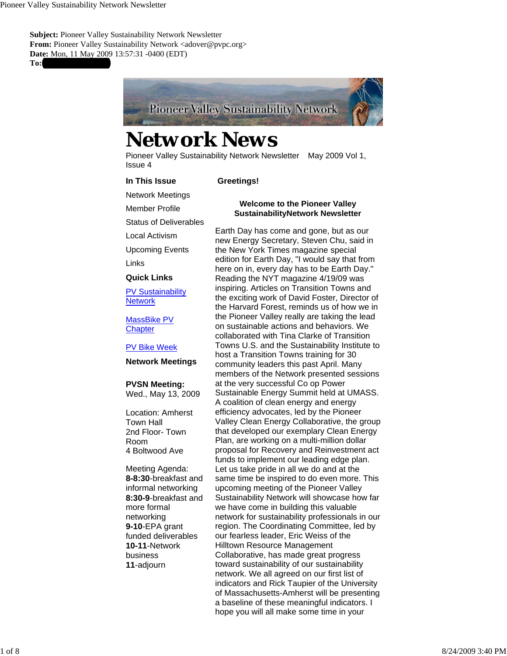**Subject: Pioneer Valley Sustainability Network Newsletter** From: Pioneer Valley Sustainability Network <adover@pvpc.org> **Date:** Mon, 11 May 2009 13:57:31 -0400 (EDT) To:



# *Network News*

Pioneer Valley Sustainability Network Newsletter May 2009 Vol 1, Issue 4

 **Greetings!**

#### **In This Issue**

Network Meetings

Status of Deliverables

Local Activism

Member Profile

Upcoming Events

Links

#### **Quick Links**

PV Sustainability **Network** 

MassBike PV **Chapter** 

#### PV Bike Week

#### **Network Meetings**

**PVSN Meeting:**

Wed., May 13, 2009

Location: Amherst Town Hall 2nd Floor- Town Room 4 Boltwood Ave

Meeting Agenda: **8-8:30**-breakfast and informal networking **8:30-9**-breakfast and more formal networking **9-10**-EPA grant funded deliverables **10-11**-Network business **11**-adjourn

#### **Welcome to the Pioneer Valley SustainabilityNetwork Newsletter**

Earth Day has come and gone, but as our new Energy Secretary, Steven Chu, said in the New York Times magazine special edition for Earth Day, "I would say that from here on in, every day has to be Earth Day." Reading the NYT magazine 4/19/09 was inspiring. Articles on Transition Towns and the exciting work of David Foster, Director of the Harvard Forest, reminds us of how we in the Pioneer Valley really are taking the lead on sustainable actions and behaviors. We collaborated with Tina Clarke of Transition Towns U.S. and the Sustainability Institute to host a Transition Towns training for 30 community leaders this past April. Many members of the Network presented sessions at the very successful Co op Power Sustainable Energy Summit held at UMASS. A coalition of clean energy and energy efficiency advocates, led by the Pioneer Valley Clean Energy Collaborative, the group that developed our exemplary Clean Energy Plan, are working on a multi-million dollar proposal for Recovery and Reinvestment act funds to implement our leading edge plan. Let us take pride in all we do and at the same time be inspired to do even more. This upcoming meeting of the Pioneer Valley Sustainability Network will showcase how far we have come in building this valuable network for sustainability professionals in our region. The Coordinating Committee, led by our fearless leader, Eric Weiss of the Hilltown Resource Management Collaborative, has made great progress toward sustainability of our sustainability network. We all agreed on our first list of indicators and Rick Taupier of the University of Massachusetts-Amherst will be presenting a baseline of these meaningful indicators. I hope you will all make some time in your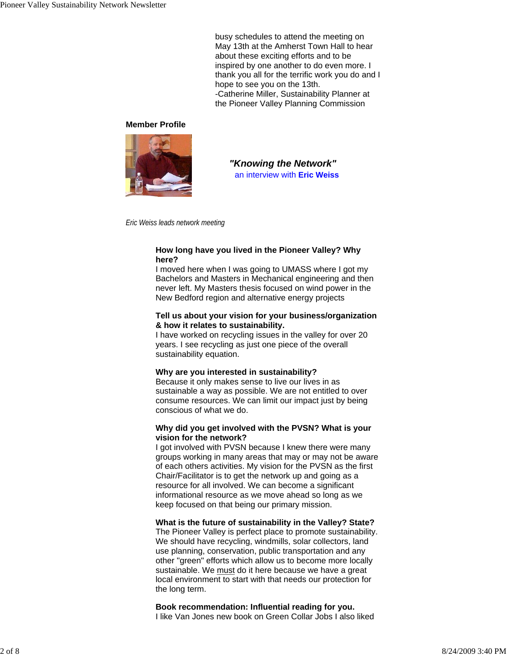busy schedules to attend the meeting on May 13th at the Amherst Town Hall to hear about these exciting efforts and to be inspired by one another to do even more. I thank you all for the terrific work you do and I hope to see you on the 13th. -Catherine Miller, Sustainability Planner at the Pioneer Valley Planning Commission

#### **Member Profile**



*"Knowing the Network"* an interview with **Eric Weiss**

*Eric Weiss leads network meeting*

#### **How long have you lived in the Pioneer Valley? Why here?**

I moved here when I was going to UMASS where I got my Bachelors and Masters in Mechanical engineering and then never left. My Masters thesis focused on wind power in the New Bedford region and alternative energy projects

#### **Tell us about your vision for your business/organization & how it relates to sustainability.**

I have worked on recycling issues in the valley for over 20 years. I see recycling as just one piece of the overall sustainability equation.

#### **Why are you interested in sustainability?**

Because it only makes sense to live our lives in as sustainable a way as possible. We are not entitled to over consume resources. We can limit our impact just by being conscious of what we do.

#### **Why did you get involved with the PVSN? What is your vision for the network?**

I got involved with PVSN because I knew there were many groups working in many areas that may or may not be aware of each others activities. My vision for the PVSN as the first Chair/Facilitator is to get the network up and going as a resource for all involved. We can become a significant informational resource as we move ahead so long as we keep focused on that being our primary mission.

#### **What is the future of sustainability in the Valley? State?**

The Pioneer Valley is perfect place to promote sustainability. We should have recycling, windmills, solar collectors, land use planning, conservation, public transportation and any other "green" efforts which allow us to become more locally sustainable. We must do it here because we have a great local environment to start with that needs our protection for the long term.

#### **Book recommendation: Influential reading for you.** I like Van Jones new book on Green Collar Jobs I also liked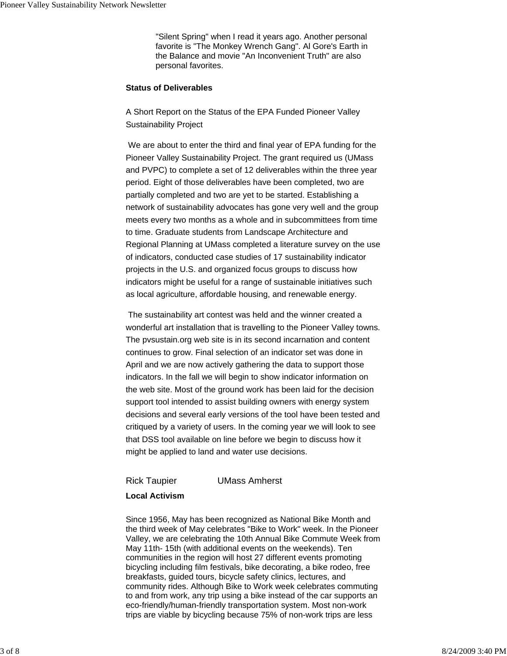"Silent Spring" when I read it years ago. Another personal favorite is "The Monkey Wrench Gang". Al Gore's Earth in the Balance and movie "An Inconvenient Truth" are also personal favorites.

#### **Status of Deliverables**

A Short Report on the Status of the EPA Funded Pioneer Valley Sustainability Project

 We are about to enter the third and final year of EPA funding for the Pioneer Valley Sustainability Project. The grant required us (UMass and PVPC) to complete a set of 12 deliverables within the three year period. Eight of those deliverables have been completed, two are partially completed and two are yet to be started. Establishing a network of sustainability advocates has gone very well and the group meets every two months as a whole and in subcommittees from time to time. Graduate students from Landscape Architecture and Regional Planning at UMass completed a literature survey on the use of indicators, conducted case studies of 17 sustainability indicator projects in the U.S. and organized focus groups to discuss how indicators might be useful for a range of sustainable initiatives such as local agriculture, affordable housing, and renewable energy.

 The sustainability art contest was held and the winner created a wonderful art installation that is travelling to the Pioneer Valley towns. The pvsustain.org web site is in its second incarnation and content continues to grow. Final selection of an indicator set was done in April and we are now actively gathering the data to support those indicators. In the fall we will begin to show indicator information on the web site. Most of the ground work has been laid for the decision support tool intended to assist building owners with energy system decisions and several early versions of the tool have been tested and critiqued by a variety of users. In the coming year we will look to see that DSS tool available on line before we begin to discuss how it might be applied to land and water use decisions.

Rick Taupier UMass Amherst

#### **Local Activism**

Since 1956, May has been recognized as National Bike Month and the third week of May celebrates "Bike to Work" week. In the Pioneer Valley, we are celebrating the 10th Annual Bike Commute Week from May 11th- 15th (with additional events on the weekends). Ten communities in the region will host 27 different events promoting bicycling including film festivals, bike decorating, a bike rodeo, free breakfasts, guided tours, bicycle safety clinics, lectures, and community rides. Although Bike to Work week celebrates commuting to and from work, any trip using a bike instead of the car supports an eco-friendly/human-friendly transportation system. Most non-work trips are viable by bicycling because 75% of non-work trips are less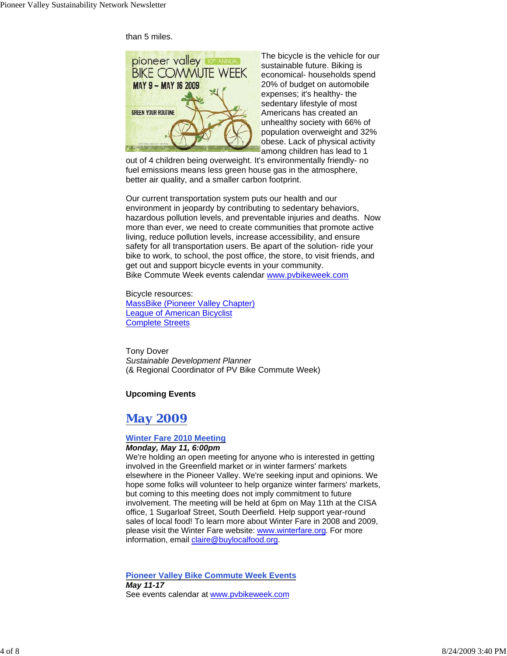than 5 miles.



The bicycle is the vehicle for our sustainable future. Biking is economical- households spend 20% of budget on automobile expenses; it's healthy- the sedentary lifestyle of most Americans has created an unhealthy society with 66% of population overweight and 32% obese. Lack of physical activity among children has lead to 1

out of 4 children being overweight. It's environmentally friendly- no fuel emissions means less green house gas in the atmosphere, better air quality, and a smaller carbon footprint.

Our current transportation system puts our health and our environment in jeopardy by contributing to sedentary behaviors, hazardous pollution levels, and preventable injuries and deaths. Now more than ever, we need to create communities that promote active living, reduce pollution levels, increase accessibility, and ensure safety for all transportation users. Be apart of the solution- ride your bike to work, to school, the post office, the store, to visit friends, and get out and support bicycle events in your community. Bike Commute Week events calendar www.pvbikeweek.com

Bicycle resources: MassBike (Pioneer Valley Chapter) League of American Bicyclist Complete Streets

Tony Dover *Sustainable Development Planner* (& Regional Coordinator of PV Bike Commute Week)

#### **Upcoming Events**

# *May 2009*

#### **Winter Fare 2010 Meeting**

#### *Monday, May 11, 6:00pm*

We're holding an open meeting for anyone who is interested in getting involved in the Greenfield market or in winter farmers' markets elsewhere in the Pioneer Valley. We're seeking input and opinions. We hope some folks will volunteer to help organize winter farmers' markets, but coming to this meeting does not imply commitment to future involvement. The meeting will be held at 6pm on May 11th at the CISA office, 1 Sugarloaf Street, South Deerfield. Help support year-round sales of local food! To learn more about Winter Fare in 2008 and 2009, please visit the Winter Fare website: www.winterfare.org. For more information, email claire@buylocalfood.org.

**Pioneer Valley Bike Commute Week Events** *May 11-17* See events calendar at www.pvbikeweek.com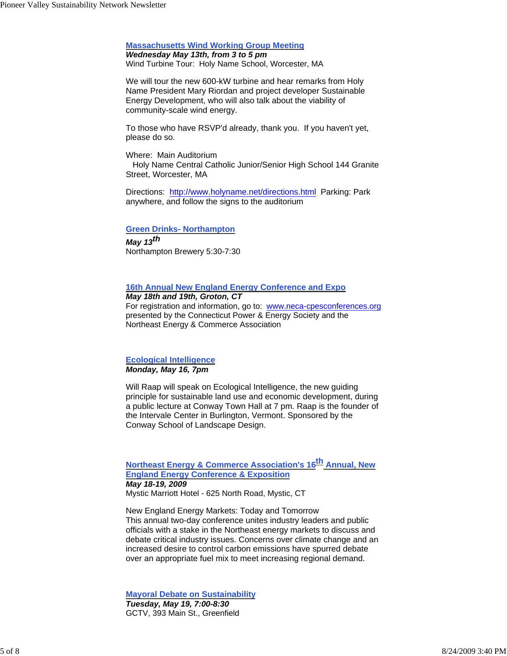#### **Massachusetts Wind Working Group Meeting**

*Wednesday May 13th, from 3 to 5 pm* Wind Turbine Tour: Holy Name School, Worcester, MA

We will tour the new 600-kW turbine and hear remarks from Holy Name President Mary Riordan and project developer Sustainable Energy Development, who will also talk about the viability of community-scale wind energy.

To those who have RSVP'd already, thank you. If you haven't yet, please do so.

Where: Main Auditorium Holy Name Central Catholic Junior/Senior High School 144 Granite Street, Worcester, MA

Directions: http://www.holyname.net/directions.html Parking: Park anywhere, and follow the signs to the auditorium

#### **Green Drinks- Northampton**

*May 13th* Northampton Brewery 5:30-7:30

#### **16th Annual New England Energy Conference and Expo**

#### *May 18th and 19th, Groton, CT*

For registration and information, go to: www.neca-cpesconferences.org presented by the Connecticut Power & Energy Society and the Northeast Energy & Commerce Association

#### **Ecological Intelligence** *Monday, May 16, 7pm*

Will Raap will speak on Ecological Intelligence, the new guiding principle for sustainable land use and economic development, during a public lecture at Conway Town Hall at 7 pm. Raap is the founder of the Intervale Center in Burlington, Vermont. Sponsored by the Conway School of Landscape Design.

#### **Northeast Energy & Commerce Association's 16<sup>th</sup> Annual, New England Energy Conference & Exposition** *May 18-19, 2009* Mystic Marriott Hotel - 625 North Road, Mystic, CT

New England Energy Markets: Today and Tomorrow This annual two-day conference unites industry leaders and public officials with a stake in the Northeast energy markets to discuss and debate critical industry issues. Concerns over climate change and an increased desire to control carbon emissions have spurred debate over an appropriate fuel mix to meet increasing regional demand.

**Mayoral Debate on Sustainability** *Tuesday, May 19, 7:00-8:30* GCTV, 393 Main St., Greenfield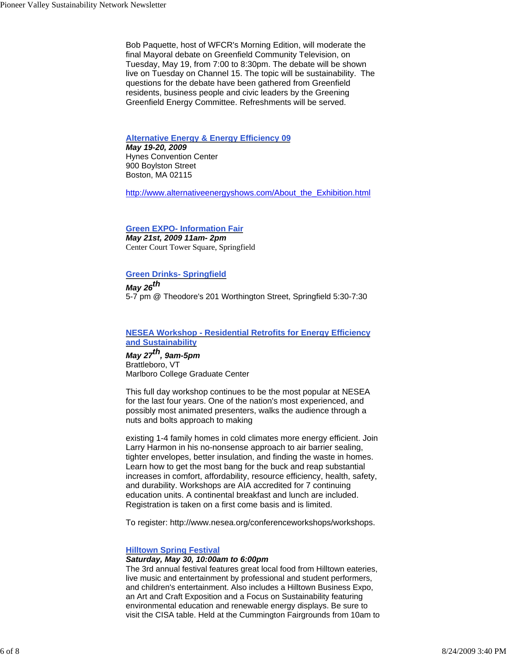Bob Paquette, host of WFCR's Morning Edition, will moderate the final Mayoral debate on Greenfield Community Television, on Tuesday, May 19, from 7:00 to 8:30pm. The debate will be shown live on Tuesday on Channel 15. The topic will be sustainability. The questions for the debate have been gathered from Greenfield residents, business people and civic leaders by the Greening Greenfield Energy Committee. Refreshments will be served.

#### **Alternative Energy & Energy Efficiency 09**

*May 19-20, 2009* Hynes Convention Center 900 Boylston Street Boston, MA 02115

http://www.alternativeenergyshows.com/About\_the\_Exhibition.html

#### **Green EXPO- Information Fair**

*May 21st, 2009 11am- 2pm* Center Court Tower Square, Springfield

#### **Green Drinks- Springfield**

*May 26th* 5-7 pm @ Theodore's 201 Worthington Street, Springfield 5:30-7:30

#### **NESEA Workshop - Residential Retrofits for Energy Efficiency and Sustainability**

*May 27th, 9am-5pm* Brattleboro, VT Marlboro College Graduate Center

This full day workshop continues to be the most popular at NESEA for the last four years. One of the nation's most experienced, and possibly most animated presenters, walks the audience through a nuts and bolts approach to making

existing 1-4 family homes in cold climates more energy efficient. Join Larry Harmon in his no-nonsense approach to air barrier sealing, tighter envelopes, better insulation, and finding the waste in homes. Learn how to get the most bang for the buck and reap substantial increases in comfort, affordability, resource efficiency, health, safety, and durability. Workshops are AIA accredited for 7 continuing education units. A continental breakfast and lunch are included. Registration is taken on a first come basis and is limited.

To register: http://www.nesea.org/conferenceworkshops/workshops.

#### **Hilltown Spring Festival**

#### *Saturday, May 30, 10:00am to 6:00pm*

The 3rd annual festival features great local food from Hilltown eateries, live music and entertainment by professional and student performers, and children's entertainment. Also includes a Hilltown Business Expo, an Art and Craft Exposition and a Focus on Sustainability featuring environmental education and renewable energy displays. Be sure to visit the CISA table. Held at the Cummington Fairgrounds from 10am to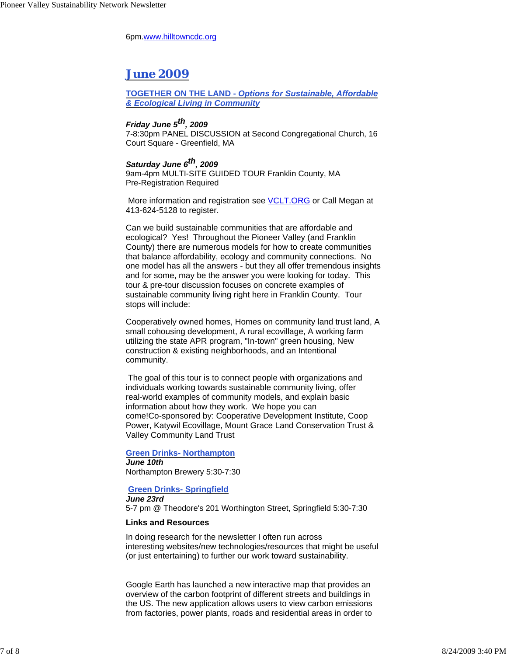6pm.www.hilltowncdc.org

## *June 2009*

**TOGETHER ON THE LAND -** *Options for Sustainable, Affordable & Ecological Living in Community*

### *Friday June 5th, 2009*

7-8:30pm PANEL DISCUSSION at Second Congregational Church, 16 Court Square - Greenfield, MA

#### *Saturday June 6th, 2009*

9am-4pm MULTI-SITE GUIDED TOUR Franklin County, MA Pre-Registration Required

More information and registration see **VCLT.ORG** or Call Megan at 413-624-5128 to register.

Can we build sustainable communities that are affordable and ecological? Yes! Throughout the Pioneer Valley (and Franklin County) there are numerous models for how to create communities that balance affordability, ecology and community connections. No one model has all the answers - but they all offer tremendous insights and for some, may be the answer you were looking for today. This tour & pre-tour discussion focuses on concrete examples of sustainable community living right here in Franklin County. Tour stops will include:

Cooperatively owned homes, Homes on community land trust land, A small cohousing development, A rural ecovillage, A working farm utilizing the state APR program, "In-town" green housing, New construction & existing neighborhoods, and an Intentional community.

 The goal of this tour is to connect people with organizations and individuals working towards sustainable community living, offer real-world examples of community models, and explain basic information about how they work. We hope you can come!Co-sponsored by: Cooperative Development Institute, Coop Power, Katywil Ecovillage, Mount Grace Land Conservation Trust & Valley Community Land Trust

#### **Green Drinks- Northampton** *June 10th* Northampton Brewery 5:30-7:30

#### **Green Drinks- Springfield**

*June 23rd* 5-7 pm @ Theodore's 201 Worthington Street, Springfield 5:30-7:30

#### **Links and Resources**

In doing research for the newsletter I often run across interesting websites/new technologies/resources that might be useful (or just entertaining) to further our work toward sustainability.

Google Earth has launched a new interactive map that provides an overview of the carbon footprint of different streets and buildings in the US. The new application allows users to view carbon emissions from factories, power plants, roads and residential areas in order to